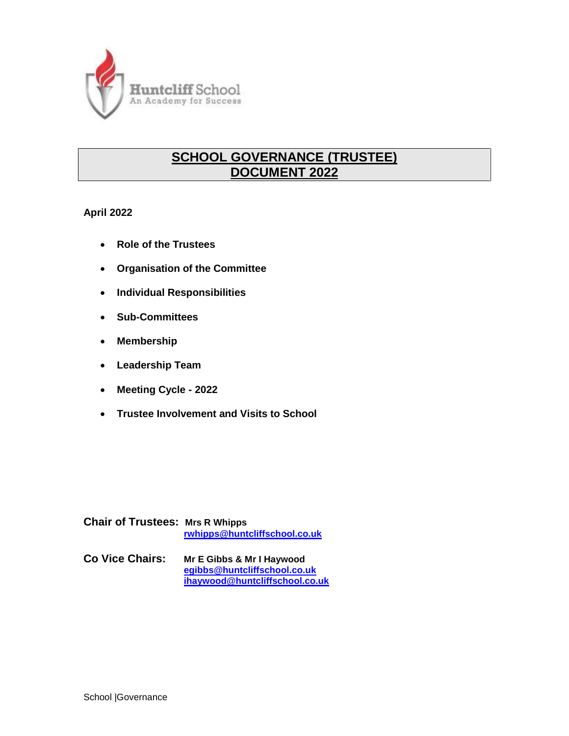

# **SCHOOL GOVERNANCE (TRUSTEE) DOCUMENT 2022**

**April 2022**

- **Role of the Trustees**
- **Organisation of the Committee**
- **Individual Responsibilities**
- **Sub-Committees**
- **Membership**
- **Leadership Team**
- **Meeting Cycle - 2022**
- **Trustee Involvement and Visits to School**

**Chair of Trustees: Mrs R Whipps [rwhipps@huntcliffschool.co.uk](mailto:rwhipps@huntcliffschool.co.uk)**

**Co Vice Chairs: Mr E Gibbs & Mr I Haywood [egibbs@huntcliffschool.co.uk](mailto:egibbs@huntcliffschool.co.uk) [ihaywood@huntcliffschool.co.uk](mailto:ihaywood@huntcliffschool.co.uk)**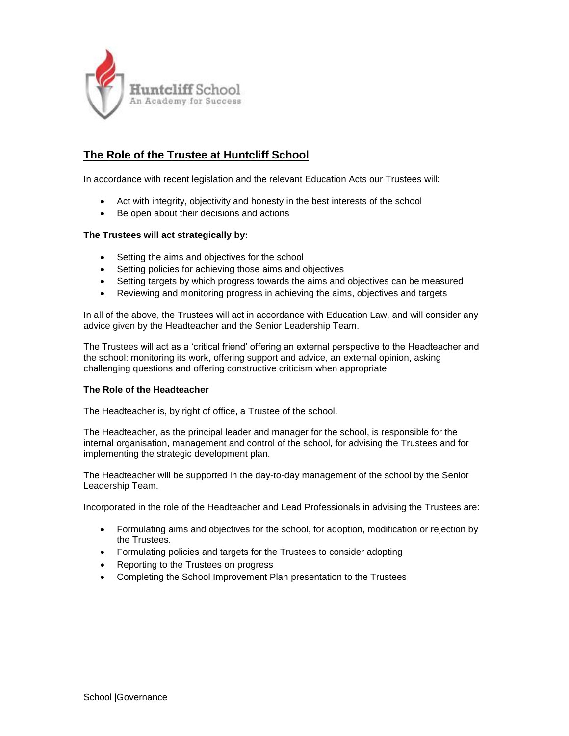

## **The Role of the Trustee at Huntcliff School**

In accordance with recent legislation and the relevant Education Acts our Trustees will:

- Act with integrity, objectivity and honesty in the best interests of the school
- Be open about their decisions and actions

#### **The Trustees will act strategically by:**

- Setting the aims and objectives for the school
- Setting policies for achieving those aims and objectives
- Setting targets by which progress towards the aims and objectives can be measured
- Reviewing and monitoring progress in achieving the aims, objectives and targets

In all of the above, the Trustees will act in accordance with Education Law, and will consider any advice given by the Headteacher and the Senior Leadership Team.

The Trustees will act as a 'critical friend' offering an external perspective to the Headteacher and the school: monitoring its work, offering support and advice, an external opinion, asking challenging questions and offering constructive criticism when appropriate.

#### **The Role of the Headteacher**

The Headteacher is, by right of office, a Trustee of the school.

The Headteacher, as the principal leader and manager for the school, is responsible for the internal organisation, management and control of the school, for advising the Trustees and for implementing the strategic development plan.

The Headteacher will be supported in the day-to-day management of the school by the Senior Leadership Team.

Incorporated in the role of the Headteacher and Lead Professionals in advising the Trustees are:

- Formulating aims and objectives for the school, for adoption, modification or rejection by the Trustees.
- Formulating policies and targets for the Trustees to consider adopting
- Reporting to the Trustees on progress
- Completing the School Improvement Plan presentation to the Trustees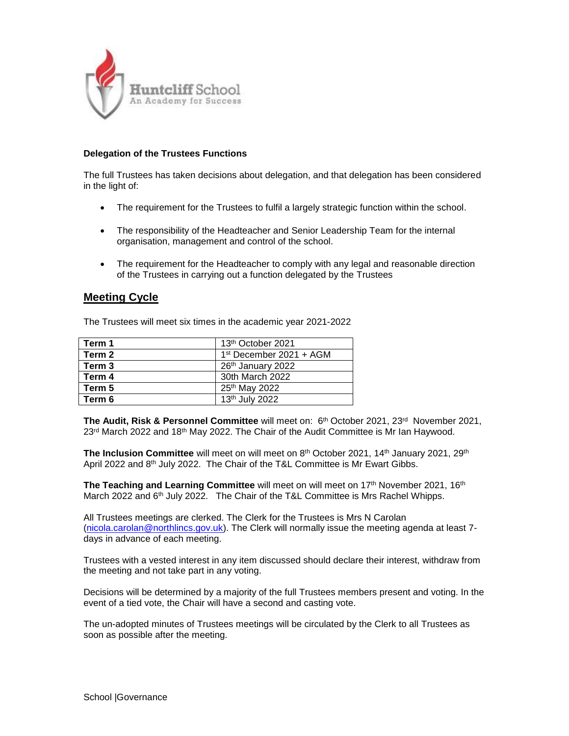

#### **Delegation of the Trustees Functions**

The full Trustees has taken decisions about delegation, and that delegation has been considered in the light of:

- The requirement for the Trustees to fulfil a largely strategic function within the school.
- The responsibility of the Headteacher and Senior Leadership Team for the internal organisation, management and control of the school.
- The requirement for the Headteacher to comply with any legal and reasonable direction of the Trustees in carrying out a function delegated by the Trustees

## **Meeting Cycle**

The Trustees will meet six times in the academic year 2021-2022

| Term 1 | 13th October 2021         |
|--------|---------------------------|
| Term 2 | $1st$ December 2021 + AGM |
| Term 3 | 26th January 2022         |
| Term 4 | 30th March 2022           |
| Term 5 | 25 <sup>th</sup> May 2022 |
| Term 6 | 13th July 2022            |

**The Audit, Risk & Personnel Committee** will meet on: 6<sup>th</sup> October 2021, 23<sup>rd</sup> November 2021, 23<sup>rd</sup> March 2022 and 18<sup>th</sup> May 2022. The Chair of the Audit Committee is Mr Ian Haywood.

**The Inclusion Committee** will meet on will meet on 8<sup>th</sup> October 2021, 14<sup>th</sup> January 2021, 29<sup>th</sup> April 2022 and 8<sup>th</sup> July 2022. The Chair of the T&L Committee is Mr Ewart Gibbs.

**The Teaching and Learning Committee** will meet on will meet on 17<sup>th</sup> November 2021, 16<sup>th</sup> March 2022 and 6<sup>th</sup> July 2022. The Chair of the T&L Committee is Mrs Rachel Whipps.

All Trustees meetings are clerked. The Clerk for the Trustees is Mrs N Carolan [\(nicola.carolan@northlincs.gov.uk\)](mailto:nicola.carolan@northlincs.gov.uk). The Clerk will normally issue the meeting agenda at least 7 days in advance of each meeting.

Trustees with a vested interest in any item discussed should declare their interest, withdraw from the meeting and not take part in any voting.

Decisions will be determined by a majority of the full Trustees members present and voting. In the event of a tied vote, the Chair will have a second and casting vote.

The un-adopted minutes of Trustees meetings will be circulated by the Clerk to all Trustees as soon as possible after the meeting.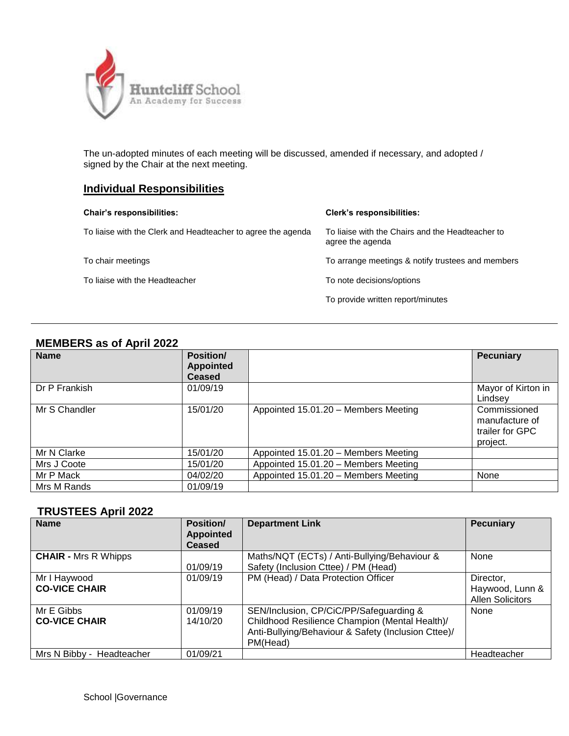

The un-adopted minutes of each meeting will be discussed, amended if necessary, and adopted / signed by the Chair at the next meeting.

## **Individual Responsibilities**

| <b>Chair's responsibilities:</b>                             | <b>Clerk's responsibilities:</b>                                     |
|--------------------------------------------------------------|----------------------------------------------------------------------|
| To liaise with the Clerk and Headteacher to agree the agenda | To liaise with the Chairs and the Headteacher to<br>agree the agenda |
| To chair meetings                                            | To arrange meetings & notify trustees and members                    |
| To liaise with the Headteacher                               | To note decisions/options                                            |
|                                                              | To provide written report/minutes                                    |

#### **MEMBERS as of April 2022**

| <b>Name</b>   | <b>Position/</b><br><b>Appointed</b><br><b>Ceased</b> |                                      | <b>Pecuniary</b>                                              |
|---------------|-------------------------------------------------------|--------------------------------------|---------------------------------------------------------------|
| Dr P Frankish | 01/09/19                                              |                                      | Mayor of Kirton in<br>Lindsev                                 |
| Mr S Chandler | 15/01/20                                              | Appointed 15.01.20 - Members Meeting | Commissioned<br>manufacture of<br>trailer for GPC<br>project. |
| Mr N Clarke   | 15/01/20                                              | Appointed 15.01.20 - Members Meeting |                                                               |
| Mrs J Coote   | 15/01/20                                              | Appointed 15.01.20 - Members Meeting |                                                               |
| Mr P Mack     | 04/02/20                                              | Appointed 15.01.20 - Members Meeting | None                                                          |
| Mrs M Rands   | 01/09/19                                              |                                      |                                                               |

## **TRUSTEES April 2022**

| <b>Name</b>                          | <b>Position/</b><br><b>Appointed</b><br><b>Ceased</b> | <b>Department Link</b>                                                                                                                                       | <b>Pecuniary</b>                                        |
|--------------------------------------|-------------------------------------------------------|--------------------------------------------------------------------------------------------------------------------------------------------------------------|---------------------------------------------------------|
| <b>CHAIR - Mrs R Whipps</b>          | 01/09/19                                              | Maths/NQT (ECTs) / Anti-Bullying/Behaviour &<br>Safety (Inclusion Cttee) / PM (Head)                                                                         | None                                                    |
| Mr I Haywood<br><b>CO-VICE CHAIR</b> | 01/09/19                                              | PM (Head) / Data Protection Officer                                                                                                                          | Director,<br>Haywood, Lunn &<br><b>Allen Solicitors</b> |
| Mr E Gibbs<br><b>CO-VICE CHAIR</b>   | 01/09/19<br>14/10/20                                  | SEN/Inclusion, CP/CiC/PP/Safeguarding &<br>Childhood Resilience Champion (Mental Health)/<br>Anti-Bullying/Behaviour & Safety (Inclusion Cttee)/<br>PM(Head) | None                                                    |
| Mrs N Bibby - Headteacher            | 01/09/21                                              |                                                                                                                                                              | Headteacher                                             |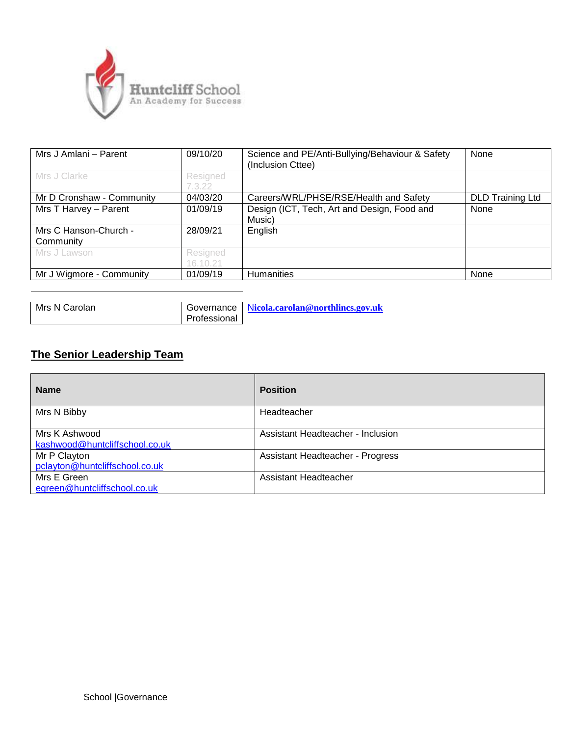

| Mrs J Amlani - Parent              | 09/10/20             | Science and PE/Anti-Bullying/Behaviour & Safety<br>(Inclusion Cttee) | None                    |  |
|------------------------------------|----------------------|----------------------------------------------------------------------|-------------------------|--|
| Mrs J Clarke                       | Resigned<br>7.3.22   |                                                                      |                         |  |
| Mr D Cronshaw - Community          | 04/03/20             | Careers/WRL/PHSE/RSE/Health and Safety                               | <b>DLD Training Ltd</b> |  |
| Mrs T Harvey - Parent              | 01/09/19             | Design (ICT, Tech, Art and Design, Food and<br>Music)                | None                    |  |
| Mrs C Hanson-Church -<br>Community | 28/09/21             | English                                                              |                         |  |
| Mrs J Lawson                       | Resigned<br>16.10.21 |                                                                      |                         |  |
| Mr J Wigmore - Community           | 01/09/19             | <b>Humanities</b>                                                    | None                    |  |

| l Mrs N Carolan |              | Governance   Nicola.carolan@northlincs.gov.uk |
|-----------------|--------------|-----------------------------------------------|
|                 | Professional |                                               |

# **The Senior Leadership Team**

| <b>Name</b>                                     | <b>Position</b>                   |
|-------------------------------------------------|-----------------------------------|
| Mrs N Bibby                                     | Headteacher                       |
| Mrs K Ashwood<br>kashwood@huntcliffschool.co.uk | Assistant Headteacher - Inclusion |
| Mr P Clayton<br>pclayton@huntcliffschool.co.uk  | Assistant Headteacher - Progress  |
| Mrs E Green<br>egreen@huntcliffschool.co.uk     | Assistant Headteacher             |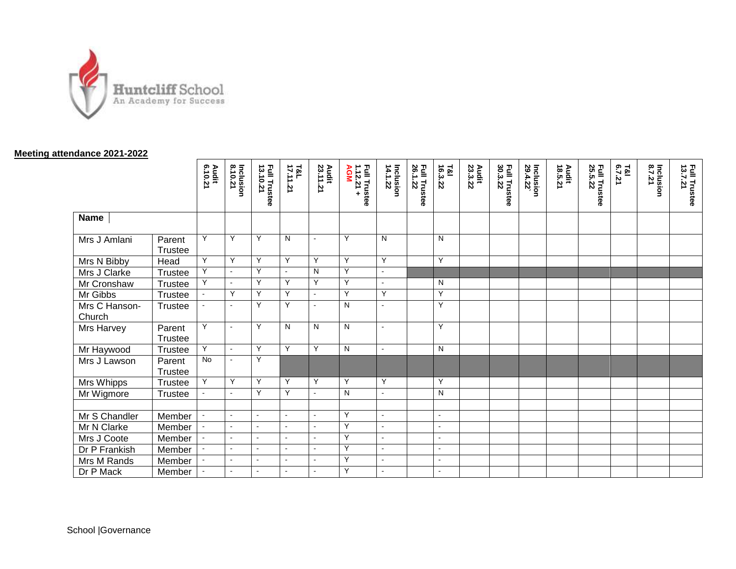

#### **Meeting attendance 20 2 1 -202 2**

|                         |                   | Audit<br>6.10.21         | Inclusion<br>8.10.21 | <b>Full Trustee</b><br>13.10.21 | <b>T&amp;L</b><br>17.11.21 | Audit<br>23.11.21 | <b>Full Trustee<br/>1.12.21 +<br/>AGM</b> | Inclusion<br>14.1.22 | <b>Full Trustee</b><br>26.1.22 | $\frac{781}{16.3.22}$ | Audit<br>23.3.22 | Full Trustee<br>30.3.22 | Inclusion<br>29.4.22 | Audit<br>18.5.21 | <b>Full Trustee<br/>25.5.22</b> | T&I<br>6.7.21 | lnclusion | <b>Full Trustee<br/>13.7.21</b> |
|-------------------------|-------------------|--------------------------|----------------------|---------------------------------|----------------------------|-------------------|-------------------------------------------|----------------------|--------------------------------|-----------------------|------------------|-------------------------|----------------------|------------------|---------------------------------|---------------|-----------|---------------------------------|
| <b>Name</b>             |                   |                          |                      |                                 |                            |                   |                                           |                      |                                |                       |                  |                         |                      |                  |                                 |               |           |                                 |
| Mrs J Amlani            | Parent<br>Trustee | Y                        | Y                    | Y                               | N                          | $\blacksquare$    | Y                                         | N                    |                                | N                     |                  |                         |                      |                  |                                 |               |           |                                 |
| Mrs N Bibby             | Head              | Y                        | Y                    | Y                               | Y                          | Y                 | Y                                         | Y                    |                                | Y                     |                  |                         |                      |                  |                                 |               |           |                                 |
| Mrs J Clarke            | Trustee           | Y                        | $\blacksquare$       | Y                               | $\sim$                     | N                 | Y                                         | $\mathbf{v}$         |                                |                       |                  |                         |                      |                  |                                 |               |           |                                 |
| Mr Cronshaw             | Trustee           | Y                        | $\mathbf{r}$         | Y                               | Y                          | Y                 | Y                                         | $\sim$               |                                | N                     |                  |                         |                      |                  |                                 |               |           |                                 |
| Mr Gibbs                | Trustee           |                          | Y                    | Y                               | Y                          | $\mathbf{r}$      | Υ                                         | Y                    |                                | Y                     |                  |                         |                      |                  |                                 |               |           |                                 |
| Mrs C Hanson-<br>Church | Trustee           |                          | $\blacksquare$       | Y                               | Y                          | $\sim$            | N                                         | $\sim$               |                                | Y                     |                  |                         |                      |                  |                                 |               |           |                                 |
| Mrs Harvey              | Parent<br>Trustee | Y                        | $\blacksquare$       | Y                               | N                          | N                 | N                                         | $\sim$               |                                | Y                     |                  |                         |                      |                  |                                 |               |           |                                 |
| Mr Haywood              | Trustee           | Y                        | $\Delta$             | Y                               | Y                          | Y                 | N                                         | $\sim$               |                                | N                     |                  |                         |                      |                  |                                 |               |           |                                 |
| Mrs J Lawson            | Parent<br>Trustee | <b>No</b>                | $\blacksquare$       | Y                               |                            |                   |                                           |                      |                                |                       |                  |                         |                      |                  |                                 |               |           |                                 |
| Mrs Whipps              | Trustee           | Y                        | Y                    | Y                               | Y                          | Y                 | Y                                         | Y                    |                                | Y                     |                  |                         |                      |                  |                                 |               |           |                                 |
| Mr Wigmore              | Trustee           |                          | $\mathbf{r}$         | Y                               | Y                          | $\sim$            | N                                         | $\sim$               |                                | N                     |                  |                         |                      |                  |                                 |               |           |                                 |
|                         |                   |                          |                      |                                 |                            |                   |                                           |                      |                                |                       |                  |                         |                      |                  |                                 |               |           |                                 |
| Mr S Chandler           | Member            | $\overline{\phantom{a}}$ | $\sim$               | $\mathbf{v}$                    | $\blacksquare$             | $\omega$          | Y                                         | $\mathbf{v}$         |                                | $\blacksquare$        |                  |                         |                      |                  |                                 |               |           |                                 |
| Mr N Clarke             | Member            |                          | $\overline{a}$       | $\sim$                          | $\sim$                     | $\overline{a}$    | Y                                         | $\sim$               |                                | $\sim$                |                  |                         |                      |                  |                                 |               |           |                                 |
| Mrs J Coote             | Member            |                          | $\overline{a}$       | $\sim$                          | $\sim$                     | $\sim$            | Y                                         | $\sim$               |                                | $\sim$                |                  |                         |                      |                  |                                 |               |           |                                 |
| Dr P Frankish           | Member            |                          | $\blacksquare$       | $\blacksquare$                  | $\blacksquare$             | $\blacksquare$    | Y                                         | $\mathbf{v}$         |                                | $\blacksquare$        |                  |                         |                      |                  |                                 |               |           |                                 |
| Mrs M Rands             | Member            |                          | $\blacksquare$       | $\sim$                          | $\sim$                     | $\sim$            | Y                                         | $\sim$               |                                | $\sim$                |                  |                         |                      |                  |                                 |               |           |                                 |
| Dr P Mack               | Member            |                          | $\mathbf{r}$         | $\blacksquare$                  | $\sim$                     | $\sim$            | Y                                         | $\sim$               |                                | $\sim$                |                  |                         |                      |                  |                                 |               |           |                                 |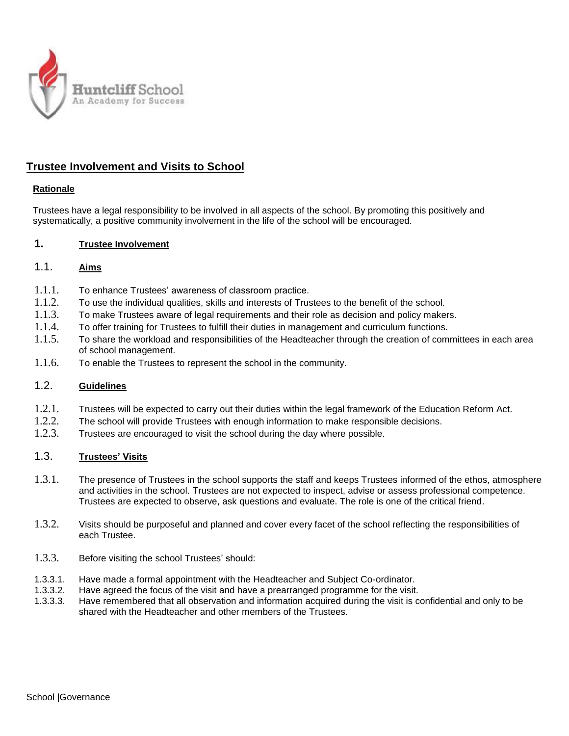

## **Trustee Involvement and Visits to School**

## **Rationale**

Trustees have a legal responsibility to be involved in all aspects of the school. By promoting this positively and systematically, a positive community involvement in the life of the school will be encouraged.

#### **1. Trustee Involvement**

## 1.1. **Aims**

- 1.1.1. To enhance Trustees' awareness of classroom practice.
- 1.1.2. To use the individual qualities, skills and interests of Trustees to the benefit of the school.
- 1.1.3. To make Trustees aware of legal requirements and their role as decision and policy makers.
- 1.1.4. To offer training for Trustees to fulfill their duties in management and curriculum functions.
- 1.1.5. To share the workload and responsibilities of the Headteacher through the creation of committees in each area of school management.
- 1.1.6. To enable the Trustees to represent the school in the community.

## 1.2. **Guidelines**

- 1.2.1. Trustees will be expected to carry out their duties within the legal framework of the Education Reform Act.
- 1.2.2. The school will provide Trustees with enough information to make responsible decisions.
- 1.2.3. Trustees are encouraged to visit the school during the day where possible.

## 1.3. **Trustees' Visits**

- 1.3.1. The presence of Trustees in the school supports the staff and keeps Trustees informed of the ethos, atmosphere and activities in the school. Trustees are not expected to inspect, advise or assess professional competence. Trustees are expected to observe, ask questions and evaluate. The role is one of the critical friend.
- 1.3.2. Visits should be purposeful and planned and cover every facet of the school reflecting the responsibilities of each Trustee.
- 1.3.3. Before visiting the school Trustees' should:
- 1.3.3.1. Have made a formal appointment with the Headteacher and Subject Co-ordinator.
- 1.3.3.2. Have agreed the focus of the visit and have a prearranged programme for the visit.
- 1.3.3.3. Have remembered that all observation and information acquired during the visit is confidential and only to be shared with the Headteacher and other members of the Trustees.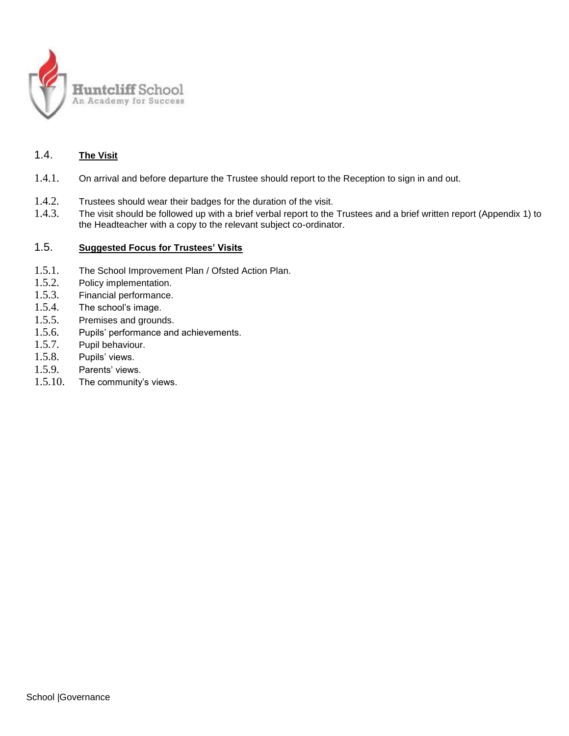

## 1.4. **The Visit**

- 1.4.1. On arrival and before departure the Trustee should report to the Reception to sign in and out.
- 1.4.2. Trustees should wear their badges for the duration of the visit.
- 1.4.3. The visit should be followed up with a brief verbal report to the Trustees and a brief written report (Appendix 1) to the Headteacher with a copy to the relevant subject co-ordinator.

## 1.5. **Suggested Focus for Trustees' Visits**

- 1.5.1. The School Improvement Plan / Ofsted Action Plan.
- 1.5.2. Policy implementation.
- 1.5.3. Financial performance.
- 1.5.4. The school's image.
- 1.5.5. Premises and grounds.
- 1.5.6. Pupils' performance and achievements.
- 1.5.7. Pupil behaviour.
- 1.5.8. Pupils' views.
- 1.5.9. Parents' views.
- 1.5.10. The community's views.